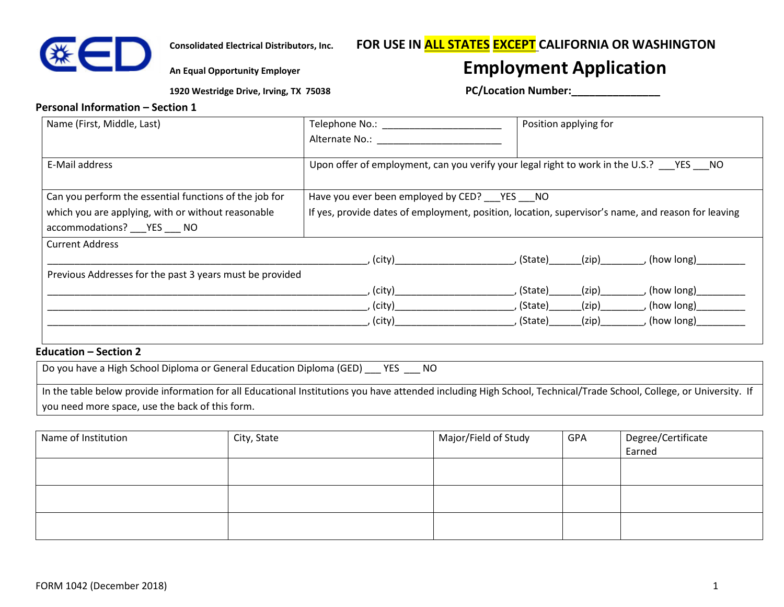

# **Consolidated Electrical Distributors, Inc. FOR USE IN ALL STATES EXCEPT CALIFORNIA OR WASHINGTON**

# **An Equal Opportunity Employer Employment Application**

 **1920 Westridge Drive, Irving, TX 75038 PC/Location Number:\_\_\_\_\_\_\_\_\_\_\_\_\_\_\_**

#### **Personal Information – Section 1**

| Name (First, Middle, Last)                               |                                                                                                                |                          | Position applying for |                        |
|----------------------------------------------------------|----------------------------------------------------------------------------------------------------------------|--------------------------|-----------------------|------------------------|
|                                                          |                                                                                                                |                          |                       |                        |
| E-Mail address                                           | Upon offer of employment, can you verify your legal right to work in the U.S.? YES NO                          |                          |                       |                        |
| Can you perform the essential functions of the job for   | Have you ever been employed by CED? _____ YES _____ NO                                                         |                          |                       |                        |
| which you are applying, with or without reasonable       | If yes, provide dates of employment, position, location, supervisor's name, and reason for leaving             |                          |                       |                        |
| accommodations? ___ YES ___ NO                           |                                                                                                                |                          |                       |                        |
| <b>Current Address</b>                                   |                                                                                                                |                          |                       |                        |
|                                                          | , (city)                                                                                                       | $(Step)$ (ip) (how long) |                       |                        |
| Previous Addresses for the past 3 years must be provided |                                                                                                                |                          |                       |                        |
|                                                          | , (city) and the control of the control of the control of the control of the control of the control of the con | , (State)                | (zip)                 | , (how long) _________ |
|                                                          | , (city)                                                                                                       | , (State)                | (zip)                 | , (how long)           |
|                                                          | , (city)                                                                                                       | , (State)                | (zip)                 | , (how long)           |
|                                                          |                                                                                                                |                          |                       |                        |
| <b>Education - Section 2</b>                             |                                                                                                                |                          |                       |                        |

| Do you have a High School Diploma or General Education Diploma (GED)<br>- NO<br><b>YES</b>                                                                          |
|---------------------------------------------------------------------------------------------------------------------------------------------------------------------|
| In the table below provide information for all Educational Institutions you have attended including High School, Technical/Trade School, College, or University. If |
| you need more space, use the back of this form.                                                                                                                     |

| Name of Institution | City, State | Major/Field of Study | GPA | Degree/Certificate<br>Earned |
|---------------------|-------------|----------------------|-----|------------------------------|
|                     |             |                      |     |                              |
|                     |             |                      |     |                              |
|                     |             |                      |     |                              |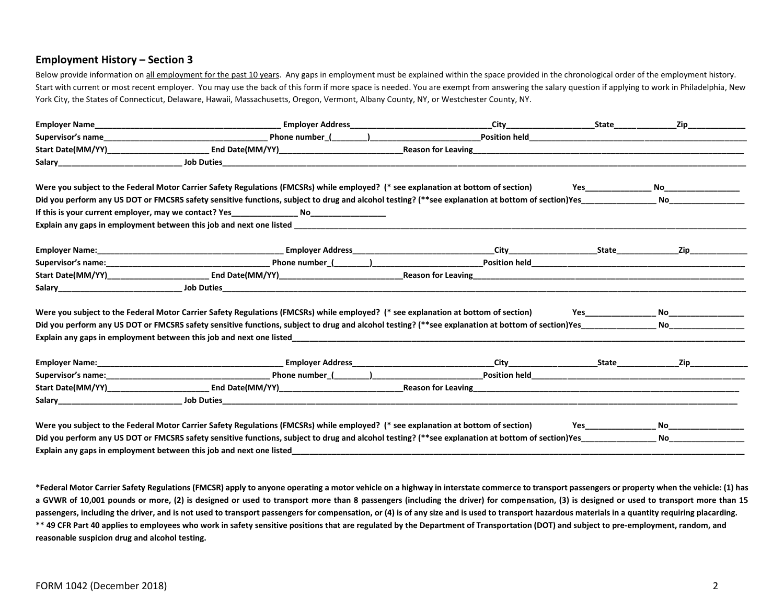#### **Employment History – Section 3**

Below provide information on all employment for the past 10 years. Any gaps in employment must be explained within the space provided in the chronological order of the employment history. Start with current or most recent employer. You may use the back of this form if more space is needed. You are exempt from answering the salary question if applying to work in Philadelphia, New York City, the States of Connecticut, Delaware, Hawaii, Massachusetts, Oregon, Vermont, Albany County, NY, or Westchester County, NY.

| Were you subject to the Federal Motor Carrier Safety Regulations (FMCSRs) while employed? (* see explanation at bottom of section)                |  |                                                                                                                                                                                                                                     | No _____________________                                                                                                                                                                                                            |
|---------------------------------------------------------------------------------------------------------------------------------------------------|--|-------------------------------------------------------------------------------------------------------------------------------------------------------------------------------------------------------------------------------------|-------------------------------------------------------------------------------------------------------------------------------------------------------------------------------------------------------------------------------------|
|                                                                                                                                                   |  |                                                                                                                                                                                                                                     | <b>No.</b> The contract of the contract of the contract of the contract of the contract of the contract of the contract of the contract of the contract of the contract of the contract of the contract of the contract of the cont |
|                                                                                                                                                   |  |                                                                                                                                                                                                                                     |                                                                                                                                                                                                                                     |
|                                                                                                                                                   |  |                                                                                                                                                                                                                                     |                                                                                                                                                                                                                                     |
|                                                                                                                                                   |  |                                                                                                                                                                                                                                     |                                                                                                                                                                                                                                     |
|                                                                                                                                                   |  |                                                                                                                                                                                                                                     |                                                                                                                                                                                                                                     |
|                                                                                                                                                   |  |                                                                                                                                                                                                                                     |                                                                                                                                                                                                                                     |
|                                                                                                                                                   |  |                                                                                                                                                                                                                                     |                                                                                                                                                                                                                                     |
| Were you subject to the Federal Motor Carrier Safety Regulations (FMCSRs) while employed? (* see explanation at bottom of section)                |  | <b>Yes</b> and the set of the set of the set of the set of the set of the set of the set of the set of the set of the set of the set of the set of the set of the set of the set of the set of the set of the set of the set of the |                                                                                                                                                                                                                                     |
| Did you perform any US DOT or FMCSRS safety sensitive functions, subject to drug and alcohol testing? (**see explanation at bottom of section)Yes |  |                                                                                                                                                                                                                                     | No______________                                                                                                                                                                                                                    |
|                                                                                                                                                   |  |                                                                                                                                                                                                                                     |                                                                                                                                                                                                                                     |
|                                                                                                                                                   |  |                                                                                                                                                                                                                                     | Zip in the set of the set of the set of the set of the set of the set of the set of the set of the set of the                                                                                                                       |
|                                                                                                                                                   |  |                                                                                                                                                                                                                                     |                                                                                                                                                                                                                                     |
|                                                                                                                                                   |  |                                                                                                                                                                                                                                     |                                                                                                                                                                                                                                     |
|                                                                                                                                                   |  |                                                                                                                                                                                                                                     |                                                                                                                                                                                                                                     |
| Were you subject to the Federal Motor Carrier Safety Regulations (FMCSRs) while employed? (* see explanation at bottom of section)                |  | <b>Yes</b> and the contract of the contract of the contract of the contract of the contract of the contract of the contract of the contract of the contract of the contract of the contract of the contract of the contract of the  | No___________________                                                                                                                                                                                                               |
| Did you perform any US DOT or FMCSRS safety sensitive functions, subject to drug and alcohol testing? (**see explanation at bottom of section)Yes |  |                                                                                                                                                                                                                                     | <b>No.</b> The contract of the contract of the contract of the contract of the contract of the contract of the contract of the contract of the contract of the contract of the contract of the contract of the contract of the cont |
| Explain any gaps in employment between this job and next one listed                                                                               |  |                                                                                                                                                                                                                                     |                                                                                                                                                                                                                                     |

**\*Federal Motor Carrier Safety Regulations (FMCSR) apply to anyone operating a motor vehicle on a highway in interstate commerce to transport passengers or property when the vehicle: (1) has a GVWR of 10,001 pounds or more, (2) is designed or used to transport more than 8 passengers (including the driver) for compensation, (3) is designed or used to transport more than 15 passengers, including the driver, and is not used to transport passengers for compensation, or (4) is of any size and is used to transport hazardous materials in a quantity requiring placarding. \*\* 49 CFR Part 40 applies to employees who work in safety sensitive positions that are regulated by the Department of Transportation (DOT) and subject to pre-employment, random, and reasonable suspicion drug and alcohol testing.**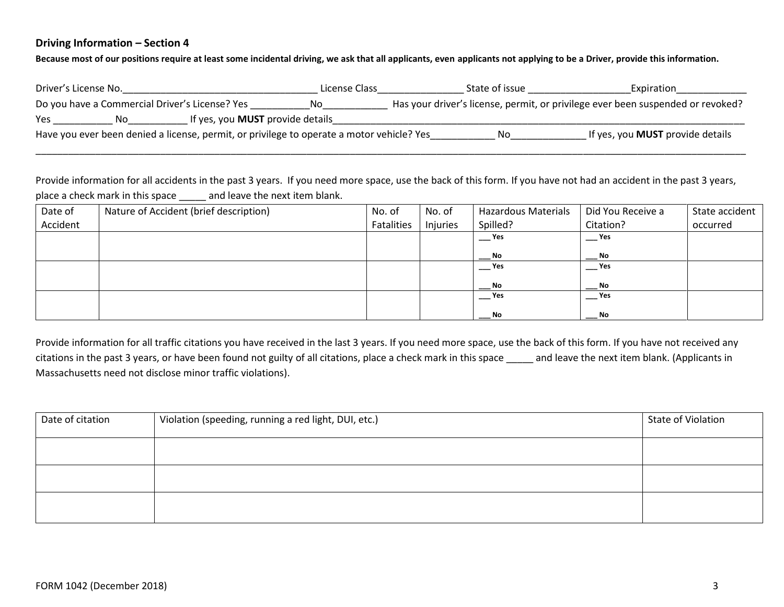#### **Driving Information – Section 4**

**Because most of our positions require at least some incidental driving, we ask that all applicants, even applicants not applying to be a Driver, provide this information.**

| Driver's License No.                                                                      | License Class | State of issue | Expiration                                                                      |
|-------------------------------------------------------------------------------------------|---------------|----------------|---------------------------------------------------------------------------------|
| Do you have a Commercial Driver's License? Yes                                            | No.           |                | Has your driver's license, permit, or privilege ever been suspended or revoked? |
| If yes, you <b>MUST</b> provide details<br>Yes<br>No.                                     |               |                |                                                                                 |
| Have you ever been denied a license, permit, or privilege to operate a motor vehicle? Yes |               | Νo             | If yes, you <b>MUST</b> provide details                                         |
|                                                                                           |               |                |                                                                                 |

Provide information for all accidents in the past 3 years. If you need more space, use the back of this form. If you have not had an accident in the past 3 years, place a check mark in this space \_\_\_\_\_ and leave the next item blank.

| Date of  | Nature of Accident (brief description) | No. of     | No. of   | <b>Hazardous Materials</b> | Did You Receive a | State accident |
|----------|----------------------------------------|------------|----------|----------------------------|-------------------|----------------|
| Accident |                                        | Fatalities | Injuries | Spilled?                   | Citation?         | occurred       |
|          |                                        |            |          | Yes                        | Yes               |                |
|          |                                        |            |          | No                         | <b>No</b>         |                |
|          |                                        |            |          | Yes                        | $-$ Yes           |                |
|          |                                        |            |          | No                         | No                |                |
|          |                                        |            |          | $\mathsf{\_}$ Yes          | $-$ Yes           |                |
|          |                                        |            |          | No                         | No                |                |

Provide information for all traffic citations you have received in the last 3 years. If you need more space, use the back of this form. If you have not received any citations in the past 3 years, or have been found not guilty of all citations, place a check mark in this space \_\_\_\_\_ and leave the next item blank. (Applicants in Massachusetts need not disclose minor traffic violations).

| Date of citation | Violation (speeding, running a red light, DUI, etc.) | State of Violation |
|------------------|------------------------------------------------------|--------------------|
|                  |                                                      |                    |
|                  |                                                      |                    |
|                  |                                                      |                    |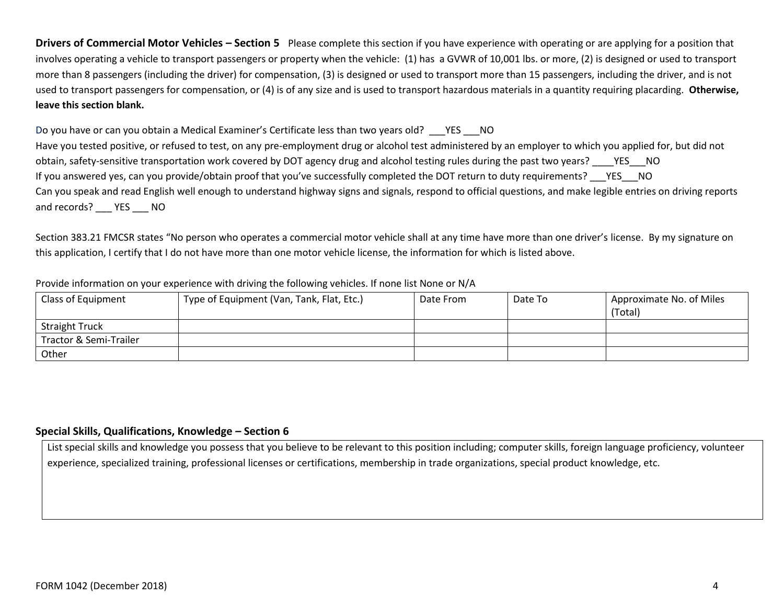**Drivers of Commercial Motor Vehicles – Section 5** Please complete this section if you have experience with operating or are applying for a position that involves operating a vehicle to transport passengers or property when the vehicle: (1) has a GVWR of 10,001 lbs. or more, (2) is designed or used to transport more than 8 passengers (including the driver) for compensation, (3) is designed or used to transport more than 15 passengers, including the driver, and is not used to transport passengers for compensation, or (4) is of any size and is used to transport hazardous materials in a quantity requiring placarding. **Otherwise, leave this section blank.**

Do you have or can you obtain a Medical Examiner's Certificate less than two years old? \_\_\_\_ YES \_\_\_\_ NO Have you tested positive, or refused to test, on any pre-employment drug or alcohol test administered by an employer to which you applied for, but did not obtain, safety-sensitive transportation work covered by DOT agency drug and alcohol testing rules during the past two years? YES NO If you answered yes, can you provide/obtain proof that you've successfully completed the DOT return to duty requirements? YES NO Can you speak and read English well enough to understand highway signs and signals, respond to official questions, and make legible entries on driving reports and records? YES NO

Section 383.21 FMCSR states "No person who operates a commercial motor vehicle shall at any time have more than one driver's license. By my signature on this application, I certify that I do not have more than one motor vehicle license, the information for which is listed above.

#### Provide information on your experience with driving the following vehicles. If none list None or N/A

| Class of Equipment     | Type of Equipment (Van, Tank, Flat, Etc.) | Date From | Date To | Approximate No. of Miles<br>(Total) |
|------------------------|-------------------------------------------|-----------|---------|-------------------------------------|
| <b>Straight Truck</b>  |                                           |           |         |                                     |
| Tractor & Semi-Trailer |                                           |           |         |                                     |
| Other                  |                                           |           |         |                                     |

#### **Special Skills, Qualifications, Knowledge – Section 6**

List special skills and knowledge you possess that you believe to be relevant to this position including; computer skills, foreign language proficiency, volunteer experience, specialized training, professional licenses or certifications, membership in trade organizations, special product knowledge, etc.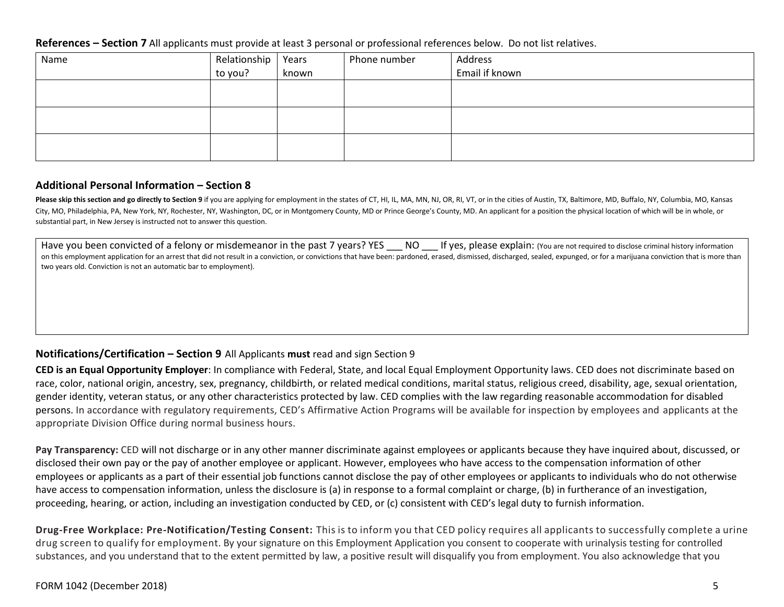#### **References – Section 7** All applicants must provide at least 3 personal or professional references below. Do not list relatives.

| Name | Relationship<br>to you? | Years | Phone number | Address        |
|------|-------------------------|-------|--------------|----------------|
|      |                         | known |              | Email if known |
|      |                         |       |              |                |
|      |                         |       |              |                |
|      |                         |       |              |                |
|      |                         |       |              |                |
|      |                         |       |              |                |
|      |                         |       |              |                |

### **Additional Personal Information – Section 8**

Please skip this section and go directly to Section 9 if you are applying for employment in the states of CT, HI, IL, MA, MN, NJ, OR, RI, VT, or in the cities of Austin, TX, Baltimore, MD, Buffalo, NY, Columbia, MO, Kansas City, MO, Philadelphia, PA, New York, NY, Rochester, NY, Washington, DC, or in Montgomery County, MD or Prince George's County, MD. An applicant for a position the physical location of which will be in whole, or substantial part, in New Jersey is instructed not to answer this question.

Have you been convicted of a felony or misdemeanor in the past 7 years? YES NO If yes, please explain: (You are not required to disclose criminal history information on this employment application for an arrest that did not result in a conviction, or convictions that have been: pardoned, erased, dismissed, discharged, sealed, expunged, or for a marijuana conviction that is more than two years old. Conviction is not an automatic bar to employment).

## **Notifications/Certification – Section 9** All Applicants **must** read and sign Section 9

**CED is an Equal Opportunity Employer**: In compliance with Federal, State, and local Equal Employment Opportunity laws. CED does not discriminate based on race, color, national origin, ancestry, sex, pregnancy, childbirth, or related medical conditions, marital status, religious creed, disability, age, sexual orientation, gender identity, veteran status, or any other characteristics protected by law. CED complies with the law regarding reasonable accommodation for disabled persons. In accordance with regulatory requirements, CED's Affirmative Action Programs will be available for inspection by employees and applicants at the appropriate Division Office during normal business hours.

**Pay Transparency:** CED will not discharge or in any other manner discriminate against employees or applicants because they have inquired about, discussed, or disclosed their own pay or the pay of another employee or applicant. However, employees who have access to the compensation information of other employees or applicants as a part of their essential job functions cannot disclose the pay of other employees or applicants to individuals who do not otherwise have access to compensation information, unless the disclosure is (a) in response to a formal complaint or charge, (b) in furtherance of an investigation, proceeding, hearing, or action, including an investigation conducted by CED, or (c) consistent with CED's legal duty to furnish information.

**Drug-Free Workplace: Pre-Notification/Testing Consent:** This is to inform you that CED policy requires all applicants to successfully complete a urine drug screen to qualify for employment. By your signature on this Employment Application you consent to cooperate with urinalysis testing for controlled substances, and you understand that to the extent permitted by law, a positive result will disqualify you from employment. You also acknowledge that you